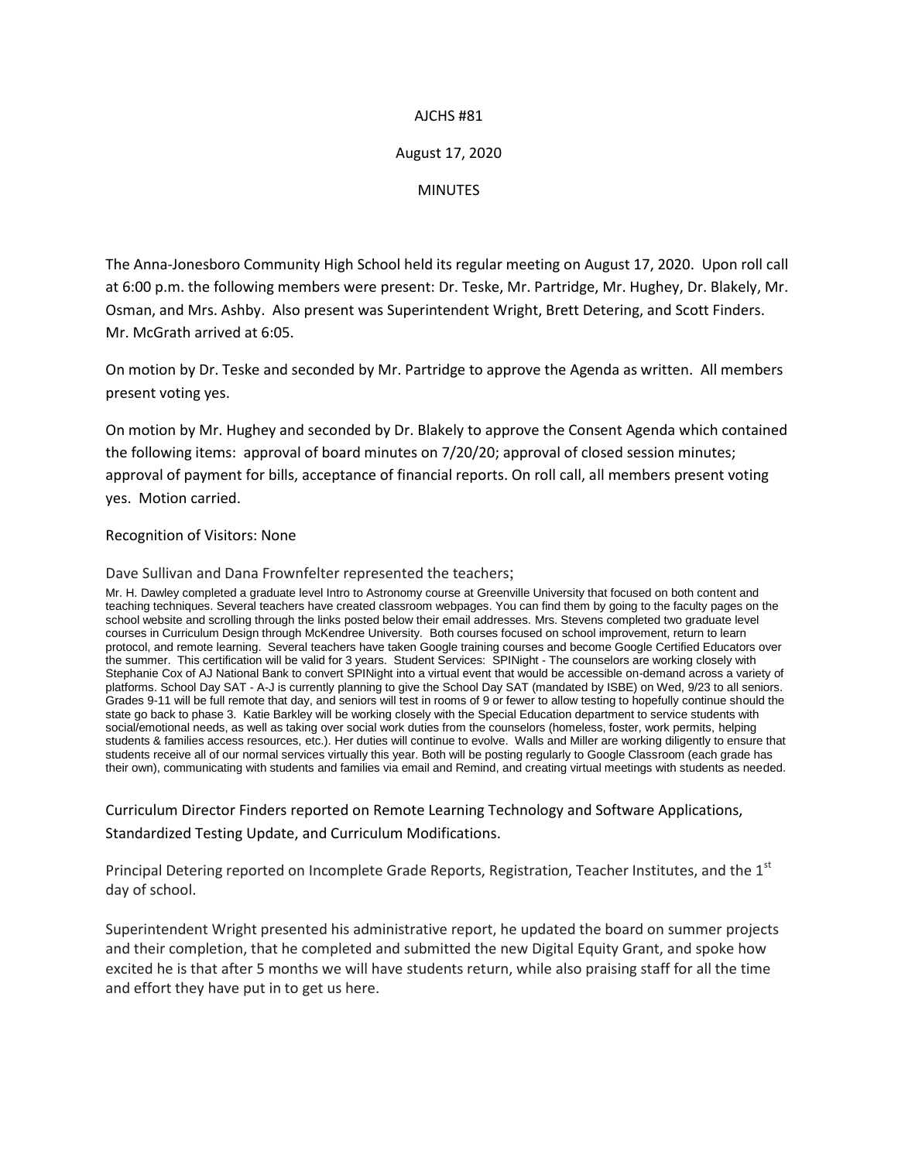## AJCHS #81

## August 17, 2020

MINUTES

The Anna-Jonesboro Community High School held its regular meeting on August 17, 2020. Upon roll call at 6:00 p.m. the following members were present: Dr. Teske, Mr. Partridge, Mr. Hughey, Dr. Blakely, Mr. Osman, and Mrs. Ashby. Also present was Superintendent Wright, Brett Detering, and Scott Finders. Mr. McGrath arrived at 6:05.

On motion by Dr. Teske and seconded by Mr. Partridge to approve the Agenda as written. All members present voting yes.

On motion by Mr. Hughey and seconded by Dr. Blakely to approve the Consent Agenda which contained the following items: approval of board minutes on 7/20/20; approval of closed session minutes; approval of payment for bills, acceptance of financial reports. On roll call, all members present voting yes. Motion carried.

## Recognition of Visitors: None

Dave Sullivan and Dana Frownfelter represented the teachers;

Mr. H. Dawley completed a graduate level Intro to Astronomy course at Greenville University that focused on both content and teaching techniques. Several teachers have created classroom webpages. You can find them by going to the faculty pages on the school website and scrolling through the links posted below their email addresses. Mrs. Stevens completed two graduate level courses in Curriculum Design through McKendree University. Both courses focused on school improvement, return to learn protocol, and remote learning. Several teachers have taken Google training courses and become Google Certified Educators over the summer. This certification will be valid for 3 years. Student Services: SPINight - The counselors are working closely with Stephanie Cox of AJ National Bank to convert SPINight into a virtual event that would be accessible on-demand across a variety of platforms. School Day SAT - A-J is currently planning to give the School Day SAT (mandated by ISBE) on Wed, 9/23 to all seniors. Grades 9-11 will be full remote that day, and seniors will test in rooms of 9 or fewer to allow testing to hopefully continue should the state go back to phase 3. Katie Barkley will be working closely with the Special Education department to service students with social/emotional needs, as well as taking over social work duties from the counselors (homeless, foster, work permits, helping students & families access resources, etc.). Her duties will continue to evolve. Walls and Miller are working diligently to ensure that students receive all of our normal services virtually this year. Both will be posting regularly to Google Classroom (each grade has their own), communicating with students and families via email and Remind, and creating virtual meetings with students as needed.

Curriculum Director Finders reported on Remote Learning Technology and Software Applications, Standardized Testing Update, and Curriculum Modifications.

Principal Detering reported on Incomplete Grade Reports, Registration, Teacher Institutes, and the 1<sup>st</sup> day of school.

Superintendent Wright presented his administrative report, he updated the board on summer projects and their completion, that he completed and submitted the new Digital Equity Grant, and spoke how excited he is that after 5 months we will have students return, while also praising staff for all the time and effort they have put in to get us here.